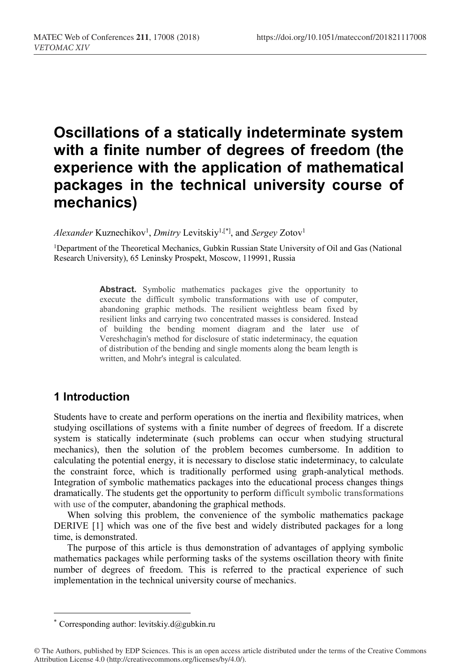# **Oscillations of a statically indeterminate system with a finite number of degrees of freedom (the experience with the application of mathematical packages in the technical university course of mechanics)**

Alexander Kuznechikov<sup>1</sup>, Dmitry Levitskiy<sup>1,[\*]</sup>, and *Sergey* Zotov<sup>1</sup>

<sup>1</sup>Department of the Theoretical Mechanics, Gubkin Russian State University of Oil and Gas (National Research University), 65 Leninsky Prospekt, Moscow, 119991, Russia

> **Abstract.** Symbolic mathematics packages give the opportunity to execute the difficult symbolic transformations with use of computer, abandoning graphic methods. The resilient weightless beam fixed by resilient links and carrying two concentrated masses is considered. Instead of building the bending moment diagram and the later use of Vereshchagin's method for disclosure of static indeterminacy, the equation of distribution of the bending and single moments along the beam length is written, and Mohr's integral is calculated.

## **1 Introduction**

 $\overline{a}$ 

Students have to create and perform operations on the inertia and flexibility matrices, when studying oscillations of systems with a finite number of degrees of freedom. If a discrete system is statically indeterminate (such problems can occur when studying structural mechanics), then the solution of the problem becomes cumbersome. In addition to calculating the potential energy, it is necessary to disclose static indeterminacy, to calculate the constraint force, which is traditionally performed using graph-analytical methods. Integration of symbolic mathematics packages into the educational process changes things dramatically. The students get the opportunity to perform difficult symbolic transformations with use of the computer, abandoning the graphical methods.

When solving this problem, the convenience of the symbolic mathematics package DERIVE [1] which was one of the five best and widely distributed packages for a long time, is demonstrated.

The purpose of this article is thus demonstration of advantages of applying symbolic mathematics packages while performing tasks of the systems oscillation theory with finite number of degrees of freedom. This is referred to the practical experience of such implementation in the technical university course of mechanics.

Corresponding author: levitskiy.d@gubkin.ru

<sup>©</sup> The Authors, published by EDP Sciences. This is an open access article distributed under the terms of the Creative Commons Attribution License 4.0 (http://creativecommons.org/licenses/by/4.0/).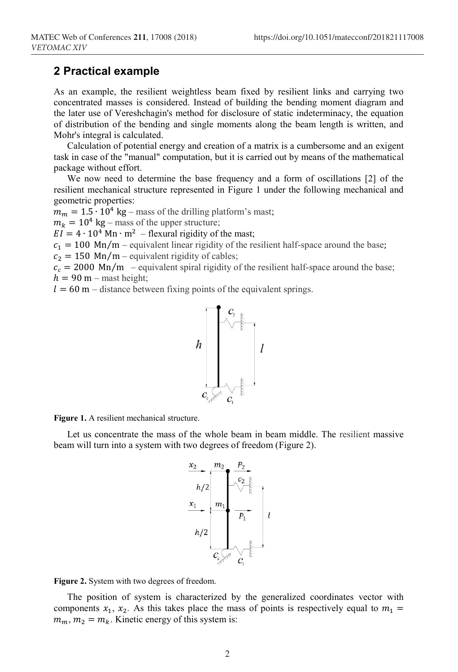#### **2 Practical example**

As an example, the resilient weightless beam fixed by resilient links and carrying two concentrated masses is considered. Instead of building the bending moment diagram and the later use of Vereshchagin's method for disclosure of static indeterminacy, the equation of distribution of the bending and single moments along the beam length is written, and Mohr's integral is calculated.

Calculation of potential energy and creation of a matrix is a cumbersome and an exigent task in case of the "manual" computation, but it is carried out by means of the mathematical package without effort.

We now need to determine the base frequency and a form of oscillations [2] of the resilient mechanical structure represented in Figure 1 under the following mechanical and geometric properties:

 $m_m = 1.5 \cdot 10^4$  kg – mass of the drilling platform's mast;

 $m_k = 10^4$  kg – mass of the upper structure;

 $EI = 4 \cdot 10^4$  Mn ⋅ m<sup>2</sup> – flexural rigidity of the mast;

 $c_1 = 100 \text{ Mn/m}$  – equivalent linear rigidity of the resilient half-space around the base;

 $c_2 = 150$  Mn/m – equivalent rigidity of cables;

 $c_c = 2000 \text{ Mn/m}$  – equivalent spiral rigidity of the resilient half-space around the base;  $h = 90$  m – mast height;

 $l = 60$  m – distance between fixing points of the equivalent springs.



**Figure 1.** A resilient mechanical structure.

Let us concentrate the mass of the whole beam in beam middle. The resilient massive beam will turn into a system with two degrees of freedom (Figure 2).



**Figure 2.** System with two degrees of freedom.

The position of system is characterized by the generalized coordinates vector with components  $x_1, x_2$ . As this takes place the mass of points is respectively equal to  $m_1 =$  $m_m$ ,  $m_2 = m_k$ . Kinetic energy of this system is: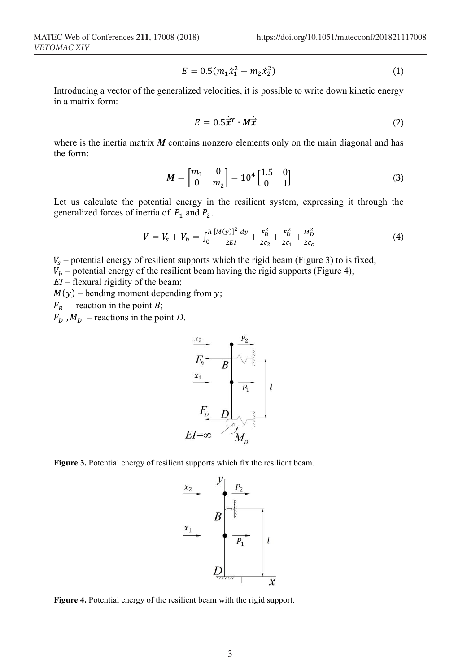$$
E = 0.5(m_1\dot{x}_1^2 + m_2\dot{x}_2^2)
$$
 (1)

Introducing a vector of the generalized velocities, it is possible to write down kinetic energy in a matrix form:

$$
E = 0.5\dot{\vec{x}}^T \cdot M\dot{\vec{x}} \tag{2}
$$

where is the inertia matrix *M* contains nonzero elements only on the main diagonal and has the form:

$$
M = \begin{bmatrix} m_1 & 0 \\ 0 & m_2 \end{bmatrix} = 10^4 \begin{bmatrix} 1.5 & 0 \\ 0 & 1 \end{bmatrix}
$$
 (3)

Let us calculate the potential energy in the resilient system, expressing it through the generalized forces of inertia of  $P_1$  and  $P_2$ .

$$
V = V_s + V_b = \int_0^h \frac{[M(y)]^2 dy}{2EI} + \frac{F_B^2}{2c_2} + \frac{F_D^2}{2c_1} + \frac{M_D^2}{2c_c}
$$
 (4)

 $V_s$  – potential energy of resilient supports which the rigid beam (Figure 3) to is fixed;

 $V_b$  – potential energy of the resilient beam having the rigid supports (Figure 4);

*EI* – flexural rigidity of the beam;

 $M(y)$  – bending moment depending from y;

 $F_B$  – reaction in the point *B*;

 $F_D$ ,  $M_D$  – reactions in the point *D*.



**Figure 3.** Potential energy of resilient supports which fix the resilient beam.



**Figure 4.** Potential energy of the resilient beam with the rigid support.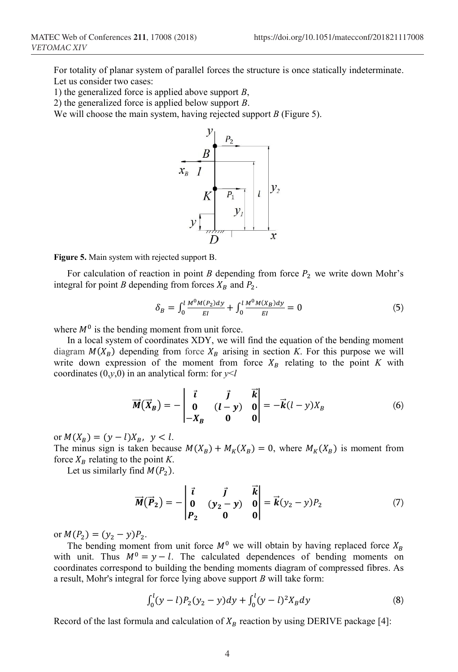For totality of planar system of parallel forces the structure is once statically indeterminate. Let us consider two cases:

- 1) the generalized force is applied above support *B*,
- 2) the generalized force is applied below support *B*.

We will choose the main system, having rejected support *B* (Figure 5).



**Figure 5.** Main system with rejected support B.

For calculation of reaction in point *B* depending from force  $P_2$  we write down Mohr's integral for point *B* depending from forces  $X_B$  and  $P_2$ .

$$
\delta_B = \int_0^l \frac{M^0 M(P_2) dy}{EI} + \int_0^l \frac{M^0 M(X_B) dy}{EI} = 0
$$
\n(5)

where  $M^0$  is the bending moment from unit force.

In a local system of coordinates XDY, we will find the equation of the bending moment diagram  $M(X_R)$  depending from force  $X_R$  arising in section *K*. For this purpose we will write down expression of the moment from force  $X_B$  relating to the point *K* with coordinates (0,*y*,0) in an analytical form: for *y*<*l*

$$
\overrightarrow{M}(\overrightarrow{X}_B) = -\begin{vmatrix} \overrightarrow{i} & \overrightarrow{j} & \overrightarrow{k} \\ 0 & (l-y) & 0 \\ -X_B & 0 & 0 \end{vmatrix} = -\overrightarrow{k}(l-y)X_B
$$
(6)

or  $M(X_B) = (y - l)X_B$ ,  $y < l$ .

The minus sign is taken because  $M(X_B) + M_K(X_B) = 0$ , where  $M_K(X_B)$  is moment from force  $X_B$  relating to the point *K*.

Let us similarly find  $M(P_2)$ .

$$
\overrightarrow{M}(\overrightarrow{P}_2) = -\begin{vmatrix} \overrightarrow{i} & \overrightarrow{j} & \overrightarrow{k} \\ 0 & (y_2 - y) & 0 \\ P_2 & 0 & 0 \end{vmatrix} = \overrightarrow{k}(y_2 - y)P_2 \tag{7}
$$

or  $M(P_2) = (y_2 - y)P_2$ .

The bending moment from unit force  $M^0$  we will obtain by having replaced force  $X_R$ with unit. Thus  $M^0 = y - l$ . The calculated dependences of bending moments on coordinates correspond to building the bending moments diagram of compressed fibres. As a result, Mohr's integral for force lying above support *B* will take form:

$$
\int_0^l (y-l) P_2(y_2-y) dy + \int_0^l (y-l)^2 X_B dy \tag{8}
$$

Record of the last formula and calculation of  $X_B$  reaction by using DERIVE package [4]: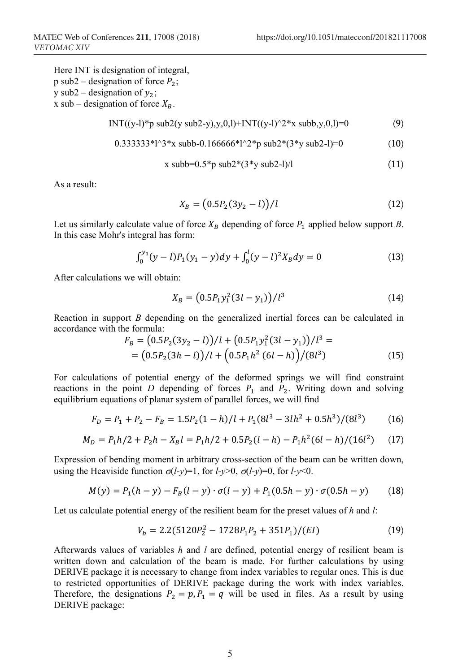Here INT is designation of integral, p sub2 – designation of force  $P_2$ ; y sub2 – designation of  $y_2$ ; x sub – designation of force  $X_B$ .

$$
INT((y-l)*p sub2(y sub2-y),y,0,l)+INT((y-l)^2*x subb,y,0,l)=0
$$
 (9)

$$
0.333333^{*}1^3* \times \text{subb-0.166666*}1^2* \text{p sub2*}(3* \text{y sub2-l}) = 0 \tag{10}
$$

$$
x \text{ subb=0.5*p sub2*(3*y sub2-l)/l} \tag{11}
$$

As a result:

$$
X_B = (0.5P_2(3y_2 - l))/l
$$
\n(12)

Let us similarly calculate value of force  $X_B$  depending of force  $P_1$  applied below support *B*. In this case Mohr's integral has form:

$$
\int_0^{y_1} (y - l) P_1(y_1 - y) dy + \int_0^l (y - l)^2 X_B dy = 0 \tag{13}
$$

After calculations we will obtain:

$$
X_B = (0.5P_1y_1^2(3l - y_1))/l^3
$$
\n(14)

Reaction in support *B* depending on the generalized inertial forces can be calculated in accordance with the formula:

$$
F_B = (0.5P_2(3y_2 - l))/l + (0.5P_1y_1^2(3l - y_1))/l^3 =
$$
  
=  $(0.5P_2(3h - l))/l + (0.5P_1h^2(6l - h))/(8l^3)$  (15)

For calculations of potential energy of the deformed springs we will find constraint reactions in the point *D* depending of forces  $P_1$  and  $P_2$ . Writing down and solving equilibrium equations of planar system of parallel forces, we will find

$$
F_D = P_1 + P_2 - F_B = 1.5P_2(1 - h)/l + P_1(8l^3 - 3lh^2 + 0.5h^3)/(8l^3)
$$
 (16)

$$
M_D = P_1 h/2 + P_2 h - X_B l = P_1 h/2 + 0.5 P_2 (l - h) - P_1 h^2 (6l - h)/(16l^2)
$$
 (17)

Expression of bending moment in arbitrary cross-section of the beam can be written down, using the Heaviside function  $\sigma(l-\gamma)=1$ , for  $l-\gamma>0$ ,  $\sigma(l-\gamma)=0$ , for  $l-\gamma<0$ .

$$
M(y) = P_1(h - y) - F_B(l - y) \cdot \sigma(l - y) + P_1(0.5h - y) \cdot \sigma(0.5h - y) \tag{18}
$$

Let us calculate potential energy of the resilient beam for the preset values of *h* and *l*:

$$
V_b = 2.2(5120P_2^2 - 1728P_1P_2 + 351P_1)/(EI)
$$
 (19)

Afterwards values of variables *h* and *l* are defined, potential energy of resilient beam is written down and calculation of the beam is made. For further calculations by using DERIVE package it is necessary to change from index variables to regular ones. This is due to restricted opportunities of DERIVE package during the work with index variables. Therefore, the designations  $P_2 = p, P_1 = q$  will be used in files. As a result by using DERIVE package: